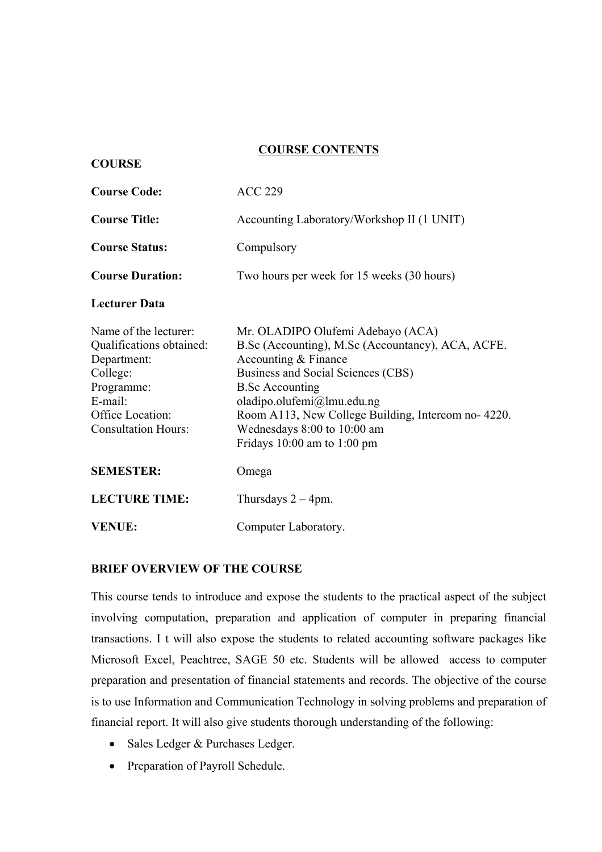## **COURSE CONTENTS**

| <b>Course Code:</b>                                                                                                                                     | <b>ACC 229</b>                                                                                                                                                                                                                                                                                                                       |
|---------------------------------------------------------------------------------------------------------------------------------------------------------|--------------------------------------------------------------------------------------------------------------------------------------------------------------------------------------------------------------------------------------------------------------------------------------------------------------------------------------|
| <b>Course Title:</b>                                                                                                                                    | Accounting Laboratory/Workshop II (1 UNIT)                                                                                                                                                                                                                                                                                           |
| <b>Course Status:</b>                                                                                                                                   | Compulsory                                                                                                                                                                                                                                                                                                                           |
| <b>Course Duration:</b>                                                                                                                                 | Two hours per week for 15 weeks (30 hours)                                                                                                                                                                                                                                                                                           |
| <b>Lecturer Data</b>                                                                                                                                    |                                                                                                                                                                                                                                                                                                                                      |
| Name of the lecturer:<br>Qualifications obtained:<br>Department:<br>College:<br>Programme:<br>E-mail:<br>Office Location:<br><b>Consultation Hours:</b> | Mr. OLADIPO Olufemi Adebayo (ACA)<br>B.Sc (Accounting), M.Sc (Accountancy), ACA, ACFE.<br>Accounting & Finance<br>Business and Social Sciences (CBS)<br><b>B.Sc Accounting</b><br>oladipo.olufemi@lmu.edu.ng<br>Room A113, New College Building, Intercom no-4220.<br>Wednesdays 8:00 to 10:00 am<br>Fridays $10:00$ am to $1:00$ pm |
| <b>SEMESTER:</b>                                                                                                                                        | Omega                                                                                                                                                                                                                                                                                                                                |
| <b>LECTURE TIME:</b>                                                                                                                                    | Thursdays $2 - 4$ pm.                                                                                                                                                                                                                                                                                                                |
| <b>VENUE:</b>                                                                                                                                           | Computer Laboratory.                                                                                                                                                                                                                                                                                                                 |

#### **BRIEF OVERVIEW OF THE COURSE**

**COURSE**

This course tends to introduce and expose the students to the practical aspect of the subject involving computation, preparation and application of computer in preparing financial transactions. I t will also expose the students to related accounting software packages like Microsoft Excel, Peachtree, SAGE 50 etc. Students will be allowed access to computer preparation and presentation of financial statements and records. The objective of the course is to use Information and Communication Technology in solving problems and preparation of financial report. It will also give students thorough understanding of the following:

- Sales Ledger & Purchases Ledger.
- Preparation of Payroll Schedule.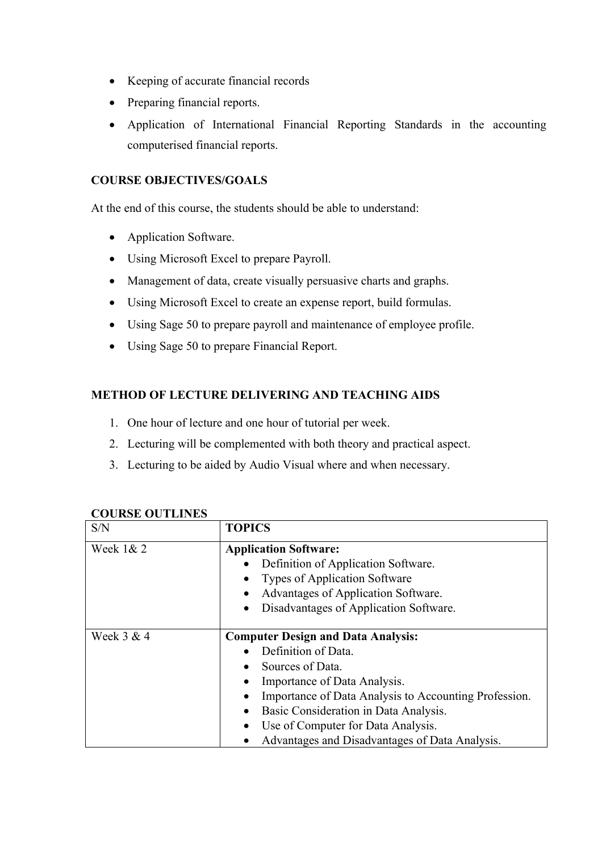- Keeping of accurate financial records
- Preparing financial reports.
- Application of International Financial Reporting Standards in the accounting computerised financial reports.

## **COURSE OBJECTIVES/GOALS**

At the end of this course, the students should be able to understand:

- Application Software.
- Using Microsoft Excel to prepare Payroll.
- Management of data, create visually persuasive charts and graphs.
- Using Microsoft Excel to create an expense report, build formulas.
- Using Sage 50 to prepare payroll and maintenance of employee profile.
- Using Sage 50 to prepare Financial Report.

# **METHOD OF LECTURE DELIVERING AND TEACHING AIDS**

- 1. One hour of lecture and one hour of tutorial per week.
- 2. Lecturing will be complemented with both theory and practical aspect.
- 3. Lecturing to be aided by Audio Visual where and when necessary.

| S/N         | <b>TOPICS</b>                                              |
|-------------|------------------------------------------------------------|
| Week $1& 2$ | <b>Application Software:</b>                               |
|             | Definition of Application Software.                        |
|             | <b>Types of Application Software</b>                       |
|             | Advantages of Application Software.<br>$\bullet$           |
|             | Disadvantages of Application Software.<br>$\bullet$        |
|             |                                                            |
| Week 3 & 4  | <b>Computer Design and Data Analysis:</b>                  |
|             | Definition of Data.                                        |
|             | Sources of Data.                                           |
|             | Importance of Data Analysis.<br>$\bullet$                  |
|             | Importance of Data Analysis to Accounting Profession.<br>٠ |
|             | Basic Consideration in Data Analysis.<br>$\bullet$         |
|             | Use of Computer for Data Analysis.<br>$\bullet$            |
|             | Advantages and Disadvantages of Data Analysis.             |

### **COURSE OUTLINES**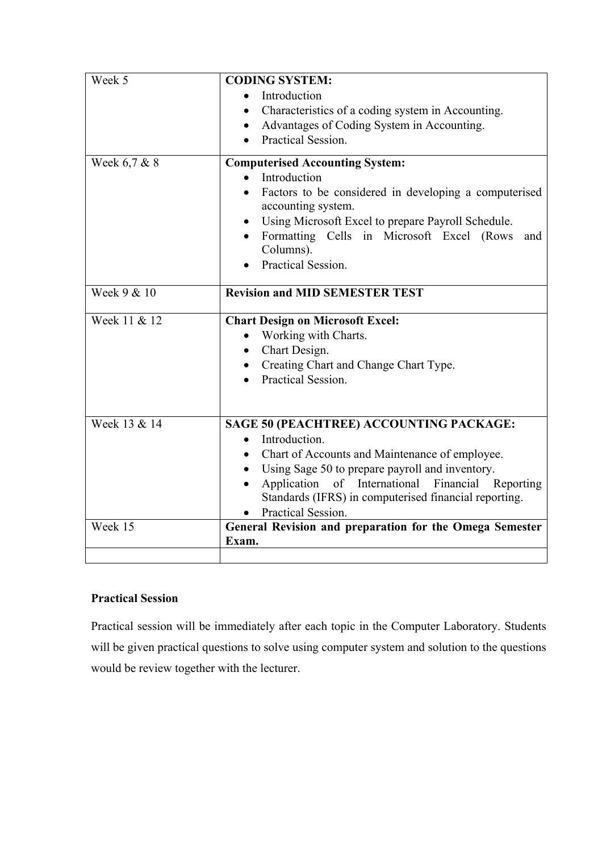| Week 5       | <b>CODING SYSTEM:</b><br>Introduction                                                                     |
|--------------|-----------------------------------------------------------------------------------------------------------|
|              | Characteristics of a coding system in Accounting.                                                         |
|              | Advantages of Coding System in Accounting.                                                                |
|              | Practical Session.                                                                                        |
| Week 6,7 & 8 | <b>Computerised Accounting System:</b>                                                                    |
|              | Introduction<br>$\bullet$                                                                                 |
|              | Factors to be considered in developing a computerised<br>$\bullet$<br>accounting system.                  |
|              | Using Microsoft Excel to prepare Payroll Schedule.<br>$\bullet$                                           |
|              | Formatting Cells in Microsoft Excel (Rows<br>and<br>Columns).                                             |
|              | Practical Session.                                                                                        |
| Week 9 & 10  | <b>Revision and MID SEMESTER TEST</b>                                                                     |
| Week 11 & 12 | <b>Chart Design on Microsoft Excel:</b>                                                                   |
|              | Working with Charts.<br>$\bullet$                                                                         |
|              | Chart Design.<br>$\bullet$                                                                                |
|              | Creating Chart and Change Chart Type.                                                                     |
|              | Practical Session.                                                                                        |
|              |                                                                                                           |
| Week 13 & 14 | SAGE 50 (PEACHTREE) ACCOUNTING PACKAGE:                                                                   |
|              | Introduction.<br>$\bullet$                                                                                |
|              | Chart of Accounts and Maintenance of employee.                                                            |
|              | Using Sage 50 to prepare payroll and inventory.                                                           |
|              | Application of International Financial Reporting<br>Standards (IFRS) in computerised financial reporting. |
|              | Practical Session.                                                                                        |
| Week 15      | General Revision and preparation for the Omega Semester<br>Exam.                                          |
|              |                                                                                                           |

# **Practical Session**

Practical session will be immediately after each topic in the Computer Laboratory. Students will be given practical questions to solve using computer system and solution to the questions would be review together with the lecturer.